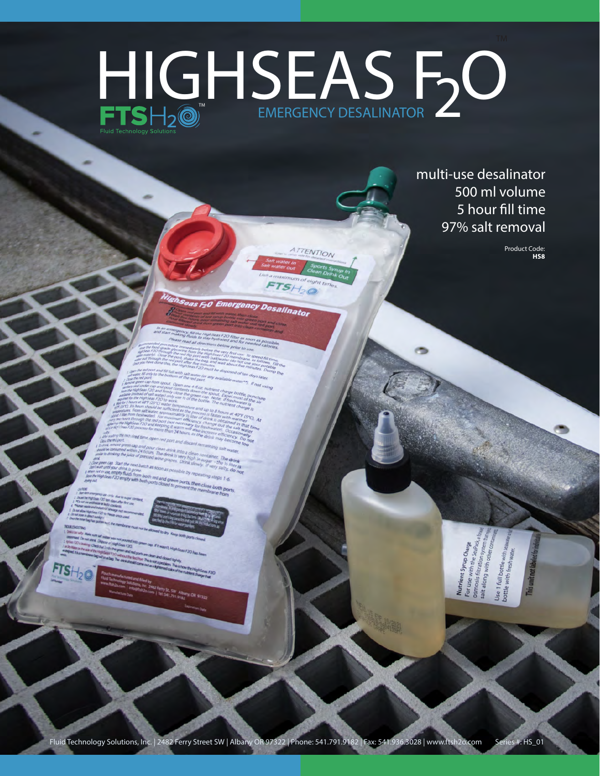## EMERGENCY DESALINATOR HIGHSEAS FO

ATTENTION

multi-use desalinator 500 ml volume 5 hour fill time 97% salt removal

> Product Code: **HS8**

## F20 Emergency Desalinator

7S



Fluid Technology Solutions, Inc. | 2482 Ferry Street SW | Albany OR 97322 | Phone: 541.791.9182 | Fax: 541.936.3028 | www.ftsh2o.com Series #: HS\_01